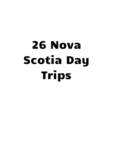## 26 Nova Scotia Day Trips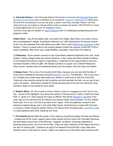A- **Advocate Harbour-** I love Advocate Harbour. The scenery is stunning and **Advocate Boats** and [NovaShores Adventures](http://novashores.com/) tours is definitely on my bucket list. [Cape d'Or Lighthouse](http://capedor.ca/) is a steep down hill stroll from the parking lot, but you can grab a meal or even stay overnight. Please note that restaurant hours are subject to change without notice so please call ahead 1-902-670-8314 or email at capedor@hotmail.com (or pack an emergency lunch)

And don't even get me started on Cape [Chignecto](http://helloweekend.ca/10-things-day-tripping-along-colchester-county/) with it's challenging backpacking trails and gorgeous vistas.

B**-Bear River** - Just off the beaten path, and inland from Digby, Bear River is an artist's mecca and a photographer's delight. Sometimes referred to as "Little Switzerland" the houses closest to the river are protected from tidal influence by stilts. Add a visit to Bear River [Vineyards](http://wine.travel/) to your itinerary .There is a guest suite on the property-please contact the property at 902-467-4156 to check availability. Bear River has a large Mi'kMaq population -bear River First Nations.

C.**Chéticamp** - At the western entrance to the Cape Breton National Highlands Park, this small Acadian fishing village boasts big cultural influence- in fact, along with Saint-Joseph-du-Moine, it's the largest francophone region in Cape Breton, evidenced by the opportunities to see and purchase Acadian crafts and gifts. We treated ourselves to supper at Le Gabriel Restaurant, which serves Acadian fare and traditional dishes such as burgers, fish and chips and lobster.

D.**Delaps Cove**- This is one of my favorite short hikes, because you can see both the Bay of Fundy and a waterfall at one point along the **[Bohaker](http://helloweekend.ca/delaps-cove-wilderness-trail-system/) Trail hike**. The Bohaker Trail is just over 2 km in length and a pretty easy hike-unless you decide to crawl down to the foot of the falls. There are a few benches along the trail including one that overlooks the falls, so you can sit and soak in its beauty. Wearshoes suitable for hiking because part of the trail runs along the rocky shoreline. Keep an eye peeled for grey seals!

E. **Eastern Shore**. Ok, this is quite a chunk of land to cover,so I suggest you don't do it in one day. Some of the highlights I love about this section of the province is Taylor's Head Provincial Park -a series of 4 trails ranging from easy to difficult. We did the [Headland](https://friendsoftaylorhead.com/trails/) Trail quite a few years ago-a 8 km trail that rims the Atlantic and requires really sturdy footwear. On the cobbled beach part. It's on our to do list to go back to do it again. There are galleries, museums and bakeries scattered along route 7 and while Willy Krachs Smokehouse is closed after 60 years in business, farther along the eastern Shore is St. Mary's River Smokehouses. [Liscombe](http://www.liscombelodge.ca/) Lodge is a great getaway spot-trails, kayaking and more.

F. **Five Islands.**Named after the cluster of five islands-Long,Diamond,Egg, Pinnacle and Moose – located just off the coast. Legend claims these islands are the result of an infuriated Glooscap, the benevolent culture hero of the Mi'kmaq . Angered by Beaver, Glooscap retaliated by throwing sticks,stones and mud.into the Bay. There are other variations of this legend but this is the one I'm sticking with. Campers can enjoy Five Islands Provincial Park -many sites have beautiful views or just stop for a picnic. Hikers can explore any of the three trails inside the park.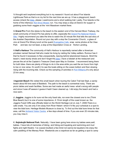I'd thought we'd explored everything but in my research I found out about Five Islands Lighthouse Park-so that is on my list for the next time we are up. It has a playground, beach access )check the [tides](http://www.tides.gc.ca/eng/station?sid=260), please ) washrooms and a short walking trail. Lastly, Five Islands is the home of the infamous 'Not Since [Moses'](http://helloweekend.ca/stuck-in-the-fundy-mud/) run. You may enjoy a stop at Diane's for supper or grabbing some fresh veggies at the 'mini Masstown market there.

G.**Grand Pr**e.From the dykes to the beach to the eastern end of the Harvest Moon Trailway, the small community of Grand Pre has plenty to offer, especially the Grand Pre [National](https://www.pc.gc.ca/en/lhn-nhs/ns/grandpre) Historic [Site.](https://www.pc.gc.ca/en/lhn-nhs/ns/grandpre) I highly recommend you take the time to watch the 20 minute film that tells the sad story of the Acadian Deportation. Round out your day with a stop the Covenantor Church, a glass of vino at Grand Pre Winery,lunch at the quaint [Evangeline](http://helloweekend.ca/evangeline-cafe/) Cafe, snap some photos at the View Park and last, but not least, a stop at the Deportation Cross at Horton Landing.

H.**Hall's Harbour** The community of Hall's Harbour is reportedly named after a American privateer named Samuel Hall who made his living by raiding the Valley settlers. Rumour has it that he found it necessary to flee unexpectedly, leaving behind abandoned treasure. Stroll the beach ( need sturdy shoes and don't forget the [tides](http://www.waterlevels.gc.ca/eng/station?sid=305) ) have a lobstah at the restaurant and peruse the art at the Captain's Treasure Chest open May to October. I recommend being there for both tides- there are plenty of things to do in the area while you wait the six hours from high to low or vice versa. It's worth it to see the boats sitting on the ocean bottom and then slowing rising with the incoming tide. Check out the sampling of activities in **Port Williams-**it's only about 23 km away.

I.**Ingonish Beach** We visited this small beach when touring the Cabot Trail last Sept, a sandy beach about 60 kms east of Baddeck. The path to the beach is somewhat rocky. There are picnic tables and wash facilities. Some ass had made an awful mess -what's wrong with people and since it was off season-I guess-it hadn't been cleaned up. I did enjoy the beach and had a nice swim.

**J. Joggins.** Joggins is for sure not the only fossil site, nor even the closest one to me (Think Blue Beach) but it is one of some importance. A 15-km length of the coast known as the Joggins Fossil Cliffs was officially listed on the World Heritage List on July 7, 2008.There is a cafe onsite. You are only 5 km away from River Hebert -which if it fits your schedule is a spot to view the tidal bore. Heritage Models Museum is close by. To find out the tidal bore times for that area, call the [Amherst](http://www.novascotia.com/transportation/nova-scotia-visitor-information-centre-amherst/2920) Visitor Centre a few days ahead of time. If you are even 20 minutes late, you may miss it.

K. **Kejimkujik National Park**. Naturally. I have been going here since my babies were,well, babies. I have lots of memories of biking and hiking and kayaking and swimming and mud fights and night theatre- I've coaxed (bullied) a few timid not wanna be kayakers into enjoy the calm paddling of the Mersey River. Weekends are a crapshoot as far as getting a spot to camp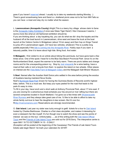goes if you haven't [reserved](https://reservation.pc.gc.ca/Kejimkujik) ahead. I usually try to take my weekends starting Monday. :) There's good snowshoeing here and there's a sheltered picnic area not to far from Mill Falls so you can have a meal and stay dry no matter what the season.

L. **Lawrencetown (Annapolis County)** Alright.This is a teeny tiny village whose claim to fame is the Annapolis Valley [Exhibition.](http://www.annapolisvalleyexhibition.com/)(I once saw Glass Tiger there!) I like it because it seems, I dunno-more like what an old fashioned exhibition should be.

If you are thinking about a day kayaking trip, you can do what we did- drop the kayaks and the husband off at the boat launch in Lawrencetown, drive west and leave the truck at the boat launch at the Visitors Centre In Bridgetown (about 15 km away) and then hop on Kings Transit to jump off in Lawrencetown again. (Or have two vehicles, whatever) This is a pretty long paddle, especially if the tide is coming into the [Annapolis](https://www.tide-forecast.com/locations/Annapolis-Royal-Annapolis-River-Nova-Scotia/tides/latest) River. Hubby says if you want a leisurely paddle, time it to leave about high tide. Bring food. And water.

M.**Malagash.** I first visited to do an article about biking this peninsula, but have gone back a few times since. One of the spots I head for is the Blue Sea Beach Provincial Park -since it's on the Northumberland Strait, expect the warmer to be fairly warm. There are picnic tables and change rooms and for the unsuspecting-poison ivy. Stop by Jost [vineyards](https://jostwine.ca/) for a wine tasting, have a meal at their cafe or rent a bicycle from them to explore the island on two wheels. Other places on interest are the Vista Bella Farm & [Malagash](https://www.vistabellafarm.com/) Cidery and the Malagash Salt Miners' Museum.

N.**Noel**. Named after the Acadian Noël Doiron,who settled in the area before joining the exodus of Acadians leaving mainland Nova Scotia.

Noel's [Burntcoat](http://helloweekend.ca/burntcoat-head-park/) Head Park known for having the Guinness Books of Records world's highest tides. before. This is a must see. But keep your eyes peeled for the road that leads to the park-it's easy to miss.

To fill in your day, have lunch and s short walk at Anthony Provincial Park, about 17 kms east. If you are craving for a adventurous treat-schedule your trip around ar river rafting tour-there are several companies located in South Maitland. I've gone out a few times with [Shubenacadie](http://riverrunnersns.com/) River [Runners](http://riverrunnersns.com/) and they always take great care of me. I'd like to be able to afford to take my whole family out-love to hear the daughters-in-law scream. But it's soo fun. R<http://riverrunnersns.com/> Reservations are strongly recommended.

O. **Oak Island.** Last year my sister was lucky enough to get6 tickets for a tour to Oak [Island](http://helloweekend.ca/guided-meanderings-oak-island/) hosted by Charles Barkhouse. Charles is a first class storyteller, and makes it interesting for even a lukewarm fan like myself. It's fun though now to watch the show and see the points of interest we saw on the tour. Unfortunately......as of this writing, both the Oak Island [Official](https://www.oakislandtours.ca/) [Tours](https://www.oakislandtours.ca/) and the [Friends](http://www.friendsofoakisland.com/home/) of Oak Island Tours are sold out for 2018.Sorry. The interpretive centre is open MAY 19 TO OCTOBER 14 10 - 5 DAILY

(Exception will be posted at the beginning of the Causeway) The Friends of oak Island Tours tickets sale begin March 1st-mark your calendars for 2019!!!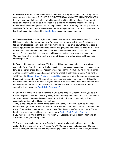P. **Port Mouton** Ahhh, Summerville Beach. Over a km of gorgeous sand to stroll along. Azure water lapping at the shore. THIS IS THE COLDEST FRACKING WATER I HAVE EVER BEEN IN-and I'm not afraid of cold water. Not a big enough parking lot for a hot day. There are pit toilets and roofed picnic tables. Be advised this is nesting area for the endangered Piping Plover. I love these birds-please keep to the pathway to avoid disturbing them. Stop at Seaside Seafoods for fish and chips if you don't feel like packing yet another picnic. If you really want to live it up-book a night or two at the [Quarterdeck](http://www.quarterdeck.ca/) to soak up the sun and relax.

Q. **Queensland Beach**. I am beginning to sense a theme-water, water everywhere. This is nice little beach that's not a terribly long drive for me,so it's a frequent visit for me..This beach not too far from Hubbards seems to be busy all year long-we took a drive down that way a couple weeks ago( March) and there were cars coming and going the entire time we were there. Some of even got out on the beach but them it started to sleet so we wrapped THAT idea up pretty quickly. The entrance to the parking lot is still accessible after a storm surge smashed up Conrads Road which runs between the shore and Queensland Lake. Water-cold. Beach in summer-packed.

R. **Round Hill** - located on highway 201, Round Hill is a rural community only 10 km from Annapolis Royal.This site is one of the first locations in North America continuously occupied by families of French origin. The last Acadian owner was Pierre Thibaudeau who owned a mill on this property until the Deportation. A grinding wheel is still visible on site. A bit further west you'll find **Bloody Creek [National](http://pc.gc.ca/en/lhn-nhs/ns/bloodycreek/info) Historic Site**, commemorating the struggle between the British and French with their Mi'kmaq allies. For even more history, continue to Port Royal for the Habitation and then to Annapolis Royal's historic Fort Anne. Want even more history? Stop in and check out the Sinclair Inn National Historic Site and The O'Dell House or immerse yourself in it but taking in a [Candlelight](http://www.tourannapolisroyal.com/) Graveyard Tour.

S. **Shelburne** .We spent a little bit of time in Shelburne this past October . Would you believe that once upon a time (that time being 1784) Shelburne had grown due to an influx of American settlers to around 10,000 and was estimated to be the fourth largest community in North America-larger than either Halifax or Montreal.

Today, a stroll through Shelburne will reveal quite a variety of museums such as the Black Loyalist Heritage Centre, Ross-Thomson House & Store Museum and Dory Shop Museum, and many of the buildings date back to Loyalist times. The historic waterfront is very pretty. Take a break and taste a cold craft beer and have a tour at Boxing Rock Brewing [Company](https://boxingrock.ca/) If you want a good stretch of the legs, the Kejimkujik Seaside Adjunct is about 50 km east of Shelburne. Wear good hiking shoes.

T. **Truro -** Known as the hub of Nova Scotia, this busy town has both Mi'kmaq and Acadian roots. Start your day with a trip to Victoria Park,1000 acres of beautiful urban park. Get the blood pumping by climbing the 175 steps making up Jacob's Ladder. Have a picnic, birdwatch,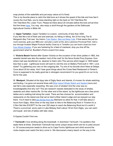snap photos of the waterfalls and just enjoy nature at it's finest.

This is my favorite place to catch the tidal bore as it shows the speed of the tide and how fast it covers the mud flats- you're close-standing right on the bank at 104 Tidal Bore Rd 104 Tidal Bore Rd, Lower Truro. Please be there about 20 minutes before the bore arrival timefind the times [here.](http://www.tides.gc.ca/eng/station?sid=265) You may also enjoy a stroll through the gardens at the Dalhousie Agricultural Centre in Bible Hill.

U. **Upper Tantallon**. Upper Tantallon is a scenic community of less than 3500. If you feel like a bit of fresh and and exercise, try hiking or biking the 33 km long The St Margaret's Bay Trail near the historic [Train Station Bike and Bean Cafe.](http://bikeandbean.ca/) If that seems like just too much exercise, grab your BBQ and and plan a swim at the Jerry Lawrence Provincial Park. Add a tour through Acadian Maple Products facility Close by in Tantallon you can book a boat tour from [Four Winds Charters](http://www.fourwindscharters.com/index.html). If you are hankering for a feed of mackerel, drop you line off the government wharf at Boutilier's Point a scant 9 km away.

V. **Victoria Beach** Named after Queen Victoria on the occasion of her silver jubilee in 1862, this seaside hamlet was also the western 'end of the road' for the Nova Scotia Pony Express- from where mail was transferred via steamer to Saint John.This service which began in 1849 lasted less than a year. Lighthouse lovers will want to visit the one on Battery Point,built in 1901. Love dulse? Try gathering your own on the outgoing tide. Try one of my favorite short hikes at Delaps Cove about 20 km away. And I hear good things about the Crows Nest Restaurant in Parker's Cove is supposed to be really good-Ias in strangers recommend it to you good.it's on our to-try list for this year.

W. **Westport**. Situated at the tippy tale of Digby Neck and Islands, it's known for whale watching and birding. I've gone out several times with Brier Island Whale Watch and [Seabird](http://helloweekend.ca/whale-watching-brier-island/) tours and last fall is was especially rewarding. We saw a ton of whales! And the crew was so knowledgeable.And why not? This are research vessels dedicated to the study of whales, seabirds and other marine life. On the other end of the island by the lighthouse are a few picnic tables and a walking trail along the coast. There are few choices for accommodation and restaurants on the island-one that we've tried is Brier Island Lodge and we enjoyed our stay there. You'll need to take two [ferries](http://brierislandguide.com/getting-to-brier-island/) from the Mainland so allow for that. It will take about 2 hours from Digby. Allow time on the way back to hike to the Balancing Rock in Tiverton-it's a 2.5km flat hike EXCEPT for the over 200 steps to reach the Balancing Rock-but it's worth it. There's a provincial picnic park in Lake Midway that's about 18 km from Digby -you can swim and kayak and lots of tables with lake views.

## X-Oppsie.Couldn't find one.

Y **Yarmouth**-I love strolling along the boardwalk in downtown Yarmouth- I've spotted a few seals there at times. Downtown Yarmouth has some unique shops which are fun to poke around in. Of course,everyone needs to drive out to Cape Forchu lighthouse and climb around the rocks-maybe even watch the ferry come in. We discovered a teeny beach on the way to the